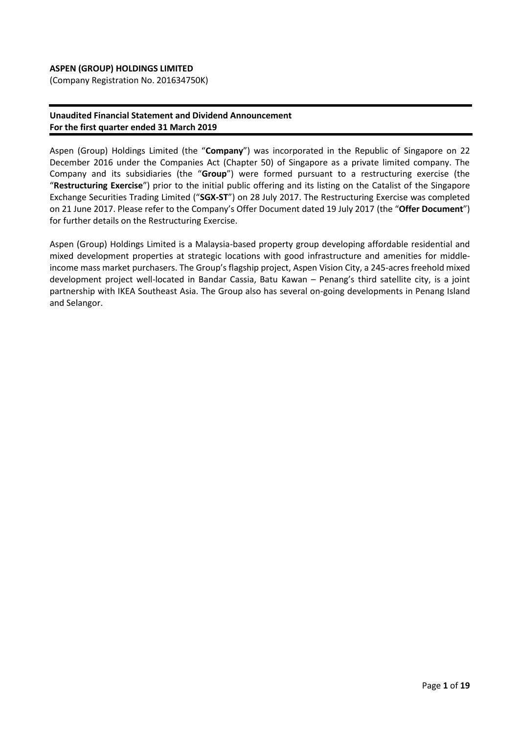### **ASPEN (GROUP) HOLDINGS LIMITED**

(Company Registration No. 201634750K)

### **Unaudited Financial Statement and Dividend Announcement For the first quarter ended 31 March 2019**

Aspen (Group) Holdings Limited (the "**Company**") was incorporated in the Republic of Singapore on 22 December 2016 under the Companies Act (Chapter 50) of Singapore as a private limited company. The Company and its subsidiaries (the "**Group**") were formed pursuant to a restructuring exercise (the "**Restructuring Exercise**") prior to the initial public offering and its listing on the Catalist of the Singapore Exchange Securities Trading Limited ("**SGX-ST**") on 28 July 2017. The Restructuring Exercise was completed on 21 June 2017. Please refer to the Company's Offer Document dated 19 July 2017 (the "**Offer Document**") for further details on the Restructuring Exercise.

Aspen (Group) Holdings Limited is a Malaysia-based property group developing affordable residential and mixed development properties at strategic locations with good infrastructure and amenities for middleincome mass market purchasers. The Group's flagship project, Aspen Vision City, a 245-acres freehold mixed development project well-located in Bandar Cassia, Batu Kawan – Penang's third satellite city, is a joint partnership with IKEA Southeast Asia. The Group also has several on-going developments in Penang Island and Selangor.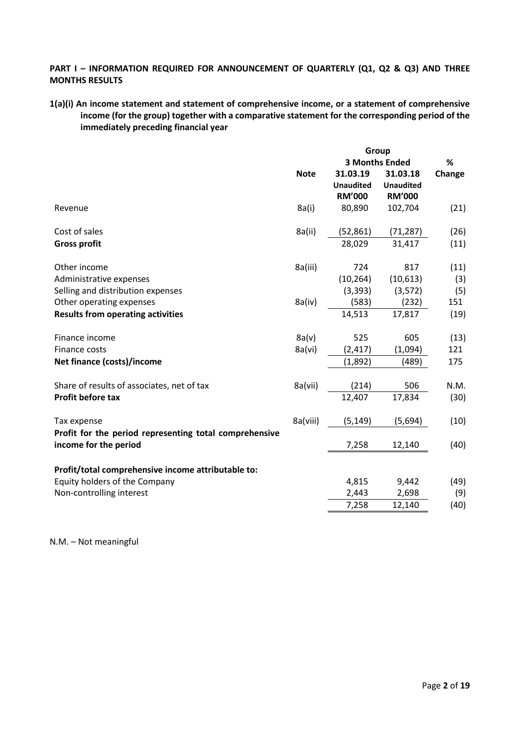### PART I - INFORMATION REQUIRED FOR ANNOUNCEMENT OF QUARTERLY (Q1, Q2 & Q3) AND THREE **MONTHS RESULTS**

### **1(a)(i) An income statement and statement of comprehensive income, or a statement of comprehensive income (for the group) together with a comparative statement for the corresponding period of the immediately preceding financial year**

|                                                                                 | Group       |                  |                       |        |
|---------------------------------------------------------------------------------|-------------|------------------|-----------------------|--------|
|                                                                                 |             |                  | <b>3 Months Ended</b> | $\%$   |
|                                                                                 | <b>Note</b> | 31.03.19         | 31.03.18              | Change |
|                                                                                 |             | <b>Unaudited</b> | <b>Unaudited</b>      |        |
|                                                                                 |             | <b>RM'000</b>    | <b>RM'000</b>         |        |
| Revenue                                                                         | 8a(i)       | 80,890           | 102,704               | (21)   |
| Cost of sales                                                                   | 8a(ii)      | (52, 861)        | (71, 287)             | (26)   |
| <b>Gross profit</b>                                                             |             | 28,029           | 31,417                | (11)   |
| Other income                                                                    | 8a(iii)     | 724              | 817                   | (11)   |
| Administrative expenses                                                         |             | (10, 264)        | (10,613)              | (3)    |
| Selling and distribution expenses                                               |             | (3, 393)         | (3, 572)              | (5)    |
| Other operating expenses                                                        | 8a(iv)      | (583)            | (232)                 | 151    |
| <b>Results from operating activities</b>                                        |             | 14,513           | 17,817                | (19)   |
| Finance income                                                                  | 8a(v)       | 525              | 605                   | (13)   |
| Finance costs                                                                   | 8a(vi)      | (2, 417)         | (1,094)               | 121    |
| Net finance (costs)/income                                                      |             | (1,892)          | (489)                 | 175    |
| Share of results of associates, net of tax                                      | 8a(vii)     | (214)            | 506                   | N.M.   |
| <b>Profit before tax</b>                                                        |             | 12,407           | 17,834                | (30)   |
| Tax expense                                                                     | 8a(viii)    | (5, 149)         | (5,694)               | (10)   |
| Profit for the period representing total comprehensive<br>income for the period |             | 7,258            | 12,140                | (40)   |
| Profit/total comprehensive income attributable to:                              |             |                  |                       |        |
| Equity holders of the Company                                                   |             | 4,815            | 9,442                 | (49)   |
| Non-controlling interest                                                        |             | 2,443            | 2,698                 | (9)    |
|                                                                                 |             | 7,258            | 12,140                | (40)   |

N.M. – Not meaningful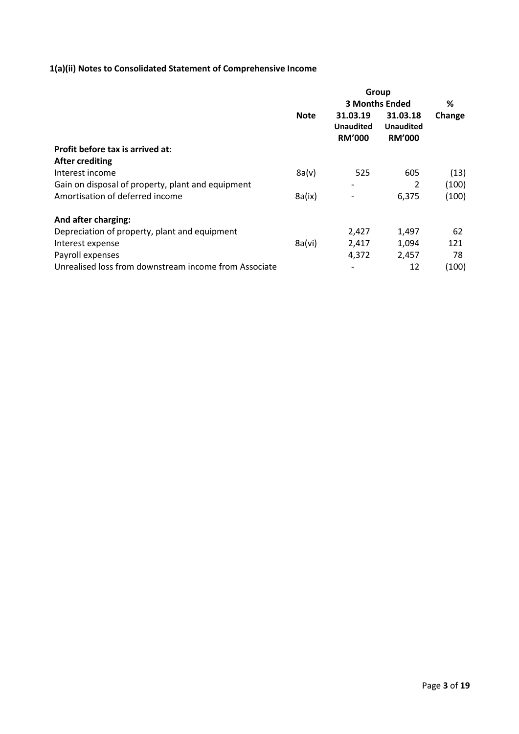# **1(a)(ii) Notes to Consolidated Statement of Comprehensive Income**

|                                                       | Group       |                                               |                                               |        |
|-------------------------------------------------------|-------------|-----------------------------------------------|-----------------------------------------------|--------|
|                                                       |             |                                               | <b>3 Months Ended</b>                         |        |
|                                                       | <b>Note</b> | 31.03.19<br><b>Unaudited</b><br><b>RM'000</b> | 31.03.18<br><b>Unaudited</b><br><b>RM'000</b> | Change |
| Profit before tax is arrived at:                      |             |                                               |                                               |        |
| <b>After crediting</b>                                |             |                                               |                                               |        |
| Interest income                                       | 8a(v)       | 525                                           | 605                                           | (13)   |
| Gain on disposal of property, plant and equipment     |             |                                               | 2                                             | (100)  |
| Amortisation of deferred income                       | 8a(ix)      |                                               | 6,375                                         | (100)  |
| And after charging:                                   |             |                                               |                                               |        |
| Depreciation of property, plant and equipment         |             | 2,427                                         | 1,497                                         | 62     |
| Interest expense                                      | 8a(vi)      | 2,417                                         | 1,094                                         | 121    |
| Payroll expenses                                      |             | 4,372                                         | 2,457                                         | 78     |
| Unrealised loss from downstream income from Associate |             |                                               | 12                                            | (100)  |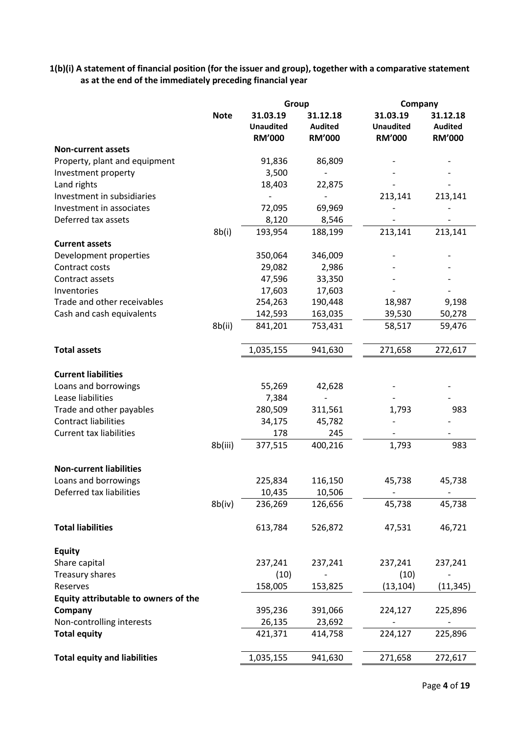**1(b)(i) A statement of financial position (for the issuer and group), together with a comparative statement as at the end of the immediately preceding financial year**

|                                      |             | Group                                         |                                             | Company                                       |                                             |
|--------------------------------------|-------------|-----------------------------------------------|---------------------------------------------|-----------------------------------------------|---------------------------------------------|
|                                      | <b>Note</b> | 31.03.19<br><b>Unaudited</b><br><b>RM'000</b> | 31.12.18<br><b>Audited</b><br><b>RM'000</b> | 31.03.19<br><b>Unaudited</b><br><b>RM'000</b> | 31.12.18<br><b>Audited</b><br><b>RM'000</b> |
| <b>Non-current assets</b>            |             |                                               |                                             |                                               |                                             |
| Property, plant and equipment        |             | 91,836                                        | 86,809                                      |                                               |                                             |
| Investment property                  |             | 3,500                                         |                                             |                                               |                                             |
| Land rights                          |             | 18,403                                        | 22,875                                      |                                               |                                             |
| Investment in subsidiaries           |             | $\frac{1}{2}$                                 | $\overline{\phantom{0}}$                    | 213,141                                       | 213,141                                     |
| Investment in associates             |             | 72,095                                        | 69,969                                      |                                               |                                             |
| Deferred tax assets                  |             | 8,120                                         | 8,546                                       |                                               |                                             |
|                                      | 8b(i)       | 193,954                                       | 188,199                                     | 213,141                                       | 213,141                                     |
| <b>Current assets</b>                |             |                                               |                                             |                                               |                                             |
| Development properties               |             | 350,064                                       | 346,009                                     |                                               |                                             |
| Contract costs                       |             | 29,082                                        | 2,986                                       |                                               |                                             |
| Contract assets                      |             | 47,596                                        | 33,350                                      |                                               |                                             |
| Inventories                          |             | 17,603                                        | 17,603                                      |                                               |                                             |
| Trade and other receivables          |             | 254,263                                       | 190,448                                     | 18,987                                        | 9,198                                       |
| Cash and cash equivalents            |             | 142,593                                       | 163,035                                     | 39,530                                        | 50,278                                      |
|                                      | 8b(ii)      | 841,201                                       | 753,431                                     | 58,517                                        | 59,476                                      |
| <b>Total assets</b>                  |             | 1,035,155                                     | 941,630                                     | 271,658                                       | 272,617                                     |
|                                      |             |                                               |                                             |                                               |                                             |
| <b>Current liabilities</b>           |             |                                               |                                             |                                               |                                             |
| Loans and borrowings                 |             | 55,269                                        | 42,628                                      |                                               |                                             |
| Lease liabilities                    |             | 7,384                                         | $\overline{a}$                              |                                               |                                             |
| Trade and other payables             |             | 280,509                                       | 311,561                                     | 1,793                                         | 983                                         |
| <b>Contract liabilities</b>          |             | 34,175                                        | 45,782                                      |                                               |                                             |
| <b>Current tax liabilities</b>       |             | 178                                           | 245                                         |                                               |                                             |
|                                      | 8b(iii)     | 377,515                                       | 400,216                                     | 1,793                                         | 983                                         |
| <b>Non-current liabilities</b>       |             |                                               |                                             |                                               |                                             |
| Loans and borrowings                 |             | 225,834                                       | 116,150                                     | 45,738                                        | 45,738                                      |
| Deferred tax liabilities             |             | 10,435                                        | 10,506                                      |                                               |                                             |
|                                      | 8b(iv)      | 236,269                                       | 126,656                                     | 45,738                                        | 45,738                                      |
| <b>Total liabilities</b>             |             | 613,784                                       | 526,872                                     | 47,531                                        | 46,721                                      |
| <b>Equity</b>                        |             |                                               |                                             |                                               |                                             |
| Share capital                        |             | 237,241                                       | 237,241                                     | 237,241                                       | 237,241                                     |
| <b>Treasury shares</b>               |             | (10)                                          |                                             | (10)                                          |                                             |
| Reserves                             |             | 158,005                                       | 153,825                                     | (13, 104)                                     | (11, 345)                                   |
| Equity attributable to owners of the |             |                                               |                                             |                                               |                                             |
| Company                              |             | 395,236                                       | 391,066                                     | 224,127                                       | 225,896                                     |
| Non-controlling interests            |             | 26,135                                        | 23,692                                      |                                               |                                             |
| <b>Total equity</b>                  |             | 421,371                                       | 414,758                                     | 224,127                                       | 225,896                                     |
|                                      |             |                                               |                                             |                                               |                                             |
| <b>Total equity and liabilities</b>  |             | 1,035,155                                     | 941,630                                     | 271,658                                       | 272,617                                     |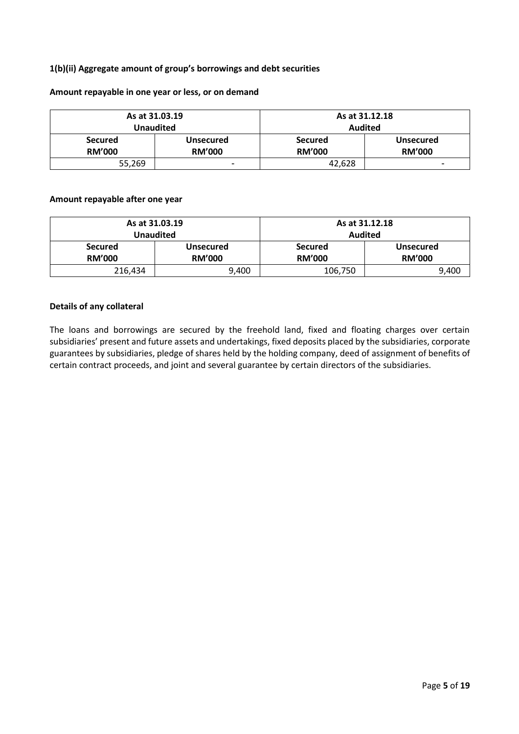### **1(b)(ii) Aggregate amount of group's borrowings and debt securities**

#### **Amount repayable in one year or less, or on demand**

|                | As at 31.03.19   | As at 31.12.18 |                  |  |
|----------------|------------------|----------------|------------------|--|
|                | Unaudited        | <b>Audited</b> |                  |  |
| <b>Secured</b> | <b>Unsecured</b> | <b>Secured</b> | <b>Unsecured</b> |  |
| <b>RM'000</b>  | <b>RM'000</b>    | <b>RM'000</b>  | <b>RM'000</b>    |  |
| 55,269         | -                | 42.628         | -                |  |

#### **Amount repayable after one year**

|                                 | As at 31.03.19<br><b>Unaudited</b> | As at 31.12.18<br><b>Audited</b>                                     |       |  |
|---------------------------------|------------------------------------|----------------------------------------------------------------------|-------|--|
| <b>Secured</b><br><b>RM'000</b> | Unsecured<br><b>RM'000</b>         | <b>Secured</b><br><b>Unsecured</b><br><b>RM'000</b><br><b>RM'000</b> |       |  |
| 216,434                         | 9,400                              | 106,750                                                              | 9,400 |  |

#### **Details of any collateral**

The loans and borrowings are secured by the freehold land, fixed and floating charges over certain subsidiaries' present and future assets and undertakings, fixed deposits placed by the subsidiaries, corporate guarantees by subsidiaries, pledge of shares held by the holding company, deed of assignment of benefits of certain contract proceeds, and joint and several guarantee by certain directors of the subsidiaries.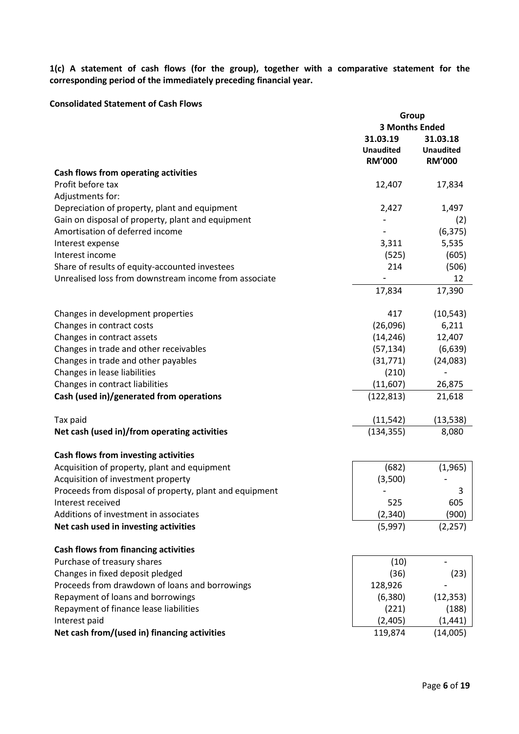**1(c) A statement of cash flows (for the group), together with a comparative statement for the corresponding period of the immediately preceding financial year.**

#### **Consolidated Statement of Cash Flows**

|                                                         | Group                 |                          |  |
|---------------------------------------------------------|-----------------------|--------------------------|--|
|                                                         | <b>3 Months Ended</b> |                          |  |
|                                                         | 31.03.19              | 31.03.18                 |  |
|                                                         | <b>Unaudited</b>      | <b>Unaudited</b>         |  |
|                                                         | <b>RM'000</b>         | <b>RM'000</b>            |  |
| Cash flows from operating activities                    |                       |                          |  |
|                                                         |                       |                          |  |
| Profit before tax                                       | 12,407                | 17,834                   |  |
| Adjustments for:                                        |                       |                          |  |
| Depreciation of property, plant and equipment           | 2,427                 | 1,497                    |  |
| Gain on disposal of property, plant and equipment       |                       | (2)                      |  |
| Amortisation of deferred income                         |                       | (6, 375)                 |  |
| Interest expense                                        | 3,311                 | 5,535                    |  |
| Interest income                                         | (525)                 | (605)                    |  |
| Share of results of equity-accounted investees          | 214                   | (506)                    |  |
| Unrealised loss from downstream income from associate   |                       | 12                       |  |
|                                                         | 17,834                | 17,390                   |  |
|                                                         |                       |                          |  |
| Changes in development properties                       | 417                   | (10, 543)                |  |
| Changes in contract costs                               | (26,096)              | 6,211                    |  |
| Changes in contract assets                              | (14, 246)             | 12,407                   |  |
| Changes in trade and other receivables                  | (57, 134)             | (6, 639)                 |  |
| Changes in trade and other payables                     | (31, 771)             | (24,083)                 |  |
| Changes in lease liabilities                            | (210)                 | $\overline{\phantom{0}}$ |  |
| Changes in contract liabilities                         | (11,607)              | 26,875                   |  |
|                                                         |                       |                          |  |
| Cash (used in)/generated from operations                | (122, 813)            | 21,618                   |  |
| Tax paid                                                | (11, 542)             | (13, 538)                |  |
| Net cash (used in)/from operating activities            | (134, 355)            | 8,080                    |  |
|                                                         |                       |                          |  |
| Cash flows from investing activities                    |                       |                          |  |
| Acquisition of property, plant and equipment            | (682)                 | (1,965)                  |  |
| Acquisition of investment property                      | (3,500)               |                          |  |
| Proceeds from disposal of property, plant and equipment |                       | 3                        |  |
| Interest received                                       | 525                   | 605                      |  |
| Additions of investment in associates                   | (2,340)               | (900)                    |  |
| Net cash used in investing activities                   | (5,997)               | (2, 257)                 |  |
|                                                         |                       |                          |  |
| <b>Cash flows from financing activities</b>             |                       |                          |  |
| Purchase of treasury shares                             | (10)                  |                          |  |
| Changes in fixed deposit pledged                        | (36)                  | (23)                     |  |
| Proceeds from drawdown of loans and borrowings          | 128,926               |                          |  |
| Repayment of loans and borrowings                       | (6, 380)              | (12, 353)                |  |
| Repayment of finance lease liabilities                  | (221)                 | (188)                    |  |
|                                                         |                       |                          |  |
| Interest paid                                           | (2,405)               | (1, 441)                 |  |
| Net cash from/(used in) financing activities            | 119,874               | (14,005)                 |  |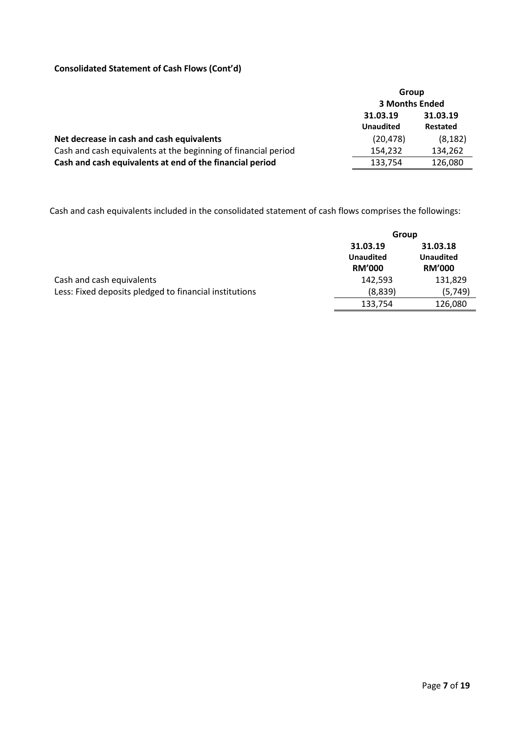# **Consolidated Statement of Cash Flows (Cont'd)**

|                                                                | Group                        |                             |  |
|----------------------------------------------------------------|------------------------------|-----------------------------|--|
|                                                                | <b>3 Months Ended</b>        |                             |  |
|                                                                | 31.03.19<br><b>Unaudited</b> | 31.03.19<br><b>Restated</b> |  |
| Net decrease in cash and cash equivalents                      | (20, 478)                    | (8, 182)                    |  |
| Cash and cash equivalents at the beginning of financial period | 154,232                      | 134,262                     |  |
| Cash and cash equivalents at end of the financial period       | 133,754                      | 126,080                     |  |

Cash and cash equivalents included in the consolidated statement of cash flows comprises the followings:

|                                                        | Group            |                  |  |
|--------------------------------------------------------|------------------|------------------|--|
|                                                        | 31.03.19         | 31.03.18         |  |
|                                                        | <b>Unaudited</b> | <b>Unaudited</b> |  |
|                                                        | <b>RM'000</b>    | <b>RM'000</b>    |  |
| Cash and cash equivalents                              | 142,593          | 131,829          |  |
| Less: Fixed deposits pledged to financial institutions | (8,839)          | (5,749)          |  |
|                                                        | 133,754          | 126,080          |  |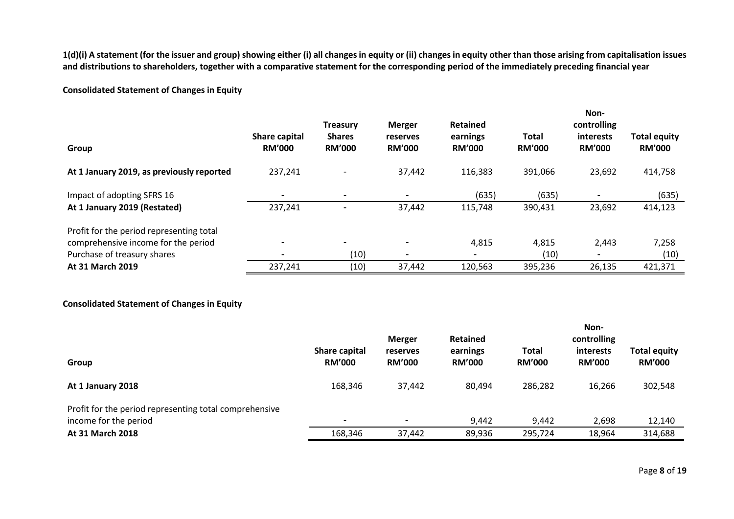**1(d)(i) A statement (for the issuer and group) showing either (i) all changes in equity or (ii) changes in equity other than those arising from capitalisation issues and distributions to shareholders, together with a comparative statement for the corresponding period of the immediately preceding financial year**

## **Consolidated Statement of Changes in Equity**

|                                           |                                | <b>Treasury</b>                | <b>Merger</b>             | <b>Retained</b>           |                               | Non-<br>controlling        |                                      |
|-------------------------------------------|--------------------------------|--------------------------------|---------------------------|---------------------------|-------------------------------|----------------------------|--------------------------------------|
| Group                                     | Share capital<br><b>RM'000</b> | <b>Shares</b><br><b>RM'000</b> | reserves<br><b>RM'000</b> | earnings<br><b>RM'000</b> | <b>Total</b><br><b>RM'000</b> | interests<br><b>RM'000</b> | <b>Total equity</b><br><b>RM'000</b> |
| At 1 January 2019, as previously reported | 237,241                        | -                              | 37,442                    | 116,383                   | 391,066                       | 23,692                     | 414,758                              |
| Impact of adopting SFRS 16                | $\overline{\phantom{a}}$       |                                | $\overline{\phantom{a}}$  | (635)                     | (635)                         |                            | (635)                                |
| At 1 January 2019 (Restated)              | 237,241                        |                                | 37,442                    | 115,748                   | 390,431                       | 23,692                     | 414,123                              |
| Profit for the period representing total  |                                |                                |                           |                           |                               |                            |                                      |
| comprehensive income for the period       | $\overline{\phantom{a}}$       | -                              | $\blacksquare$            | 4,815                     | 4,815                         | 2,443                      | 7,258                                |
| Purchase of treasury shares               | $\overline{\phantom{a}}$       | (10)                           | $\overline{\phantom{a}}$  | $\overline{\phantom{0}}$  | (10)                          |                            | (10)                                 |
| <b>At 31 March 2019</b>                   | 237,241                        | (10)                           | 37,442                    | 120,563                   | 395,236                       | 26,135                     | 421,371                              |

### **Consolidated Statement of Changes in Equity**

|                                                        |                                | <b>Merger</b>             | <b>Retained</b>           |                        | Non-<br>controlling        |                                      |
|--------------------------------------------------------|--------------------------------|---------------------------|---------------------------|------------------------|----------------------------|--------------------------------------|
| Group                                                  | Share capital<br><b>RM'000</b> | reserves<br><b>RM'000</b> | earnings<br><b>RM'000</b> | Total<br><b>RM'000</b> | interests<br><b>RM'000</b> | <b>Total equity</b><br><b>RM'000</b> |
| At 1 January 2018                                      | 168,346                        | 37,442                    | 80,494                    | 286,282                | 16,266                     | 302,548                              |
| Profit for the period representing total comprehensive |                                |                           |                           |                        |                            |                                      |
| income for the period                                  | $\,$                           | $\,$                      | 9,442                     | 9,442                  | 2,698                      | 12,140                               |
| At 31 March 2018                                       | 168,346                        | 37,442                    | 89,936                    | 295,724                | 18,964                     | 314,688                              |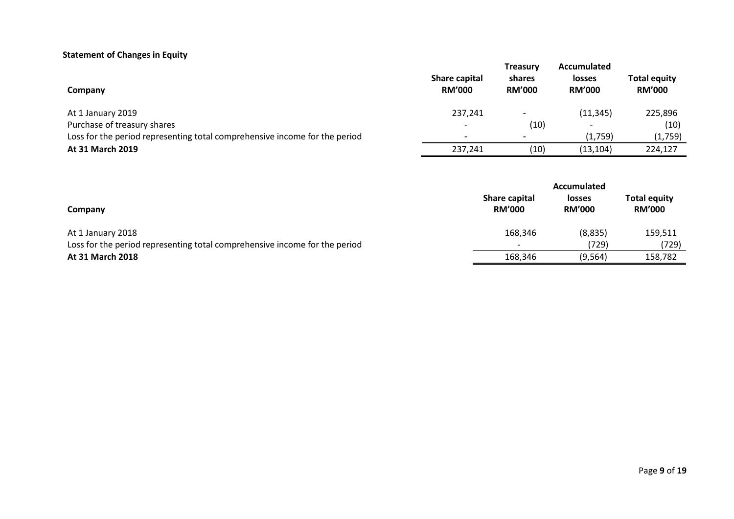# **Statement of Changes in Equity**

| Company                                                                    | Share capital<br><b>RM'000</b> | <b>Treasury</b><br>shares<br><b>RM'000</b> | Accumulated<br><b>losses</b><br><b>RM'000</b> | <b>Total equity</b><br><b>RM'000</b> |
|----------------------------------------------------------------------------|--------------------------------|--------------------------------------------|-----------------------------------------------|--------------------------------------|
| At 1 January 2019                                                          | 237,241                        |                                            | (11, 345)                                     | 225,896                              |
| Purchase of treasury shares                                                | $\overline{\phantom{0}}$       | (10)                                       |                                               | (10)                                 |
| Loss for the period representing total comprehensive income for the period | $\,$                           | $\overline{\phantom{0}}$                   | (1,759)                                       | (1,759)                              |
| <b>At 31 March 2019</b>                                                    | 237,241                        | (10)                                       | (13, 104)                                     | 224,127                              |

|                                                                            | Accumulated                    |                                |                                      |  |  |
|----------------------------------------------------------------------------|--------------------------------|--------------------------------|--------------------------------------|--|--|
| Company                                                                    | Share capital<br><b>RM'000</b> | <b>losses</b><br><b>RM'000</b> | <b>Total equity</b><br><b>RM'000</b> |  |  |
| At 1 January 2018                                                          | 168,346                        | (8,835)                        | 159,511                              |  |  |
| Loss for the period representing total comprehensive income for the period | $\overline{\phantom{0}}$       | (729)                          | (729)                                |  |  |
| <b>At 31 March 2018</b>                                                    | 168,346                        | (9, 564)                       | 158,782                              |  |  |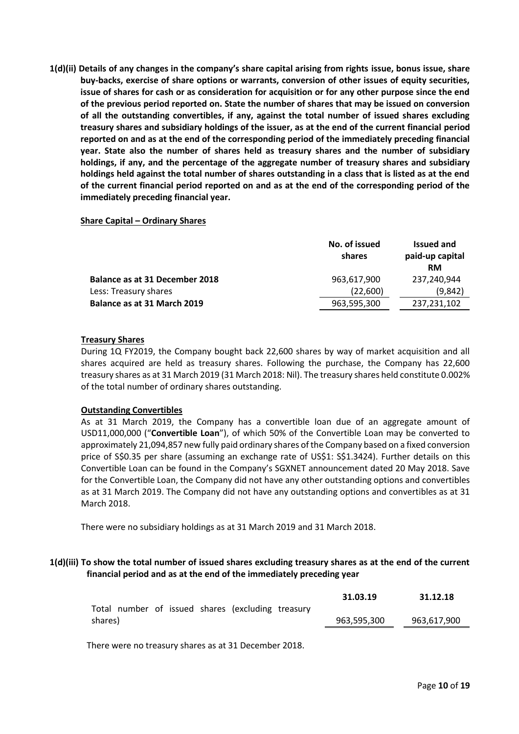**1(d)(ii) Details of any changes in the company's share capital arising from rights issue, bonus issue, share buy-backs, exercise of share options or warrants, conversion of other issues of equity securities, issue of shares for cash or as consideration for acquisition or for any other purpose since the end of the previous period reported on. State the number of shares that may be issued on conversion of all the outstanding convertibles, if any, against the total number of issued shares excluding treasury shares and subsidiary holdings of the issuer, as at the end of the current financial period reported on and as at the end of the corresponding period of the immediately preceding financial year. State also the number of shares held as treasury shares and the number of subsidiary holdings, if any, and the percentage of the aggregate number of treasury shares and subsidiary holdings held against the total number of shares outstanding in a class that is listed as at the end of the current financial period reported on and as at the end of the corresponding period of the immediately preceding financial year.**

### **Share Capital – Ordinary Shares**

|                                       | No. of issued<br>shares | <b>Issued and</b><br>paid-up capital<br><b>RM</b> |  |
|---------------------------------------|-------------------------|---------------------------------------------------|--|
| <b>Balance as at 31 December 2018</b> | 963.617.900             | 237,240,944                                       |  |
| Less: Treasury shares                 | (22,600)                | (9,842)                                           |  |
| Balance as at 31 March 2019           | 963,595,300             | 237,231,102                                       |  |

#### **Treasury Shares**

During 1Q FY2019, the Company bought back 22,600 shares by way of market acquisition and all shares acquired are held as treasury shares. Following the purchase, the Company has 22,600 treasury shares as at 31 March 2019 (31 March 2018: Nil). The treasury shares held constitute 0.002% of the total number of ordinary shares outstanding.

### **Outstanding Convertibles**

As at 31 March 2019, the Company has a convertible loan due of an aggregate amount of USD11,000,000 ("**Convertible Loan**"), of which 50% of the Convertible Loan may be converted to approximately 21,094,857 new fully paid ordinary shares of the Company based on a fixed conversion price of S\$0.35 per share (assuming an exchange rate of US\$1: S\$1.3424). Further details on this Convertible Loan can be found in the Company's SGXNET announcement dated 20 May 2018. Save for the Convertible Loan, the Company did not have any other outstanding options and convertibles as at 31 March 2019. The Company did not have any outstanding options and convertibles as at 31 March 2018.

There were no subsidiary holdings as at 31 March 2019 and 31 March 2018.

### **1(d)(iii) To show the total number of issued shares excluding treasury shares as at the end of the current financial period and as at the end of the immediately preceding year**

|                                                   | 31.03.19    | 31.12.18    |
|---------------------------------------------------|-------------|-------------|
| Total number of issued shares (excluding treasury |             |             |
| shares)                                           | 963.595.300 | 963.617.900 |
|                                                   |             |             |

There were no treasury shares as at 31 December 2018.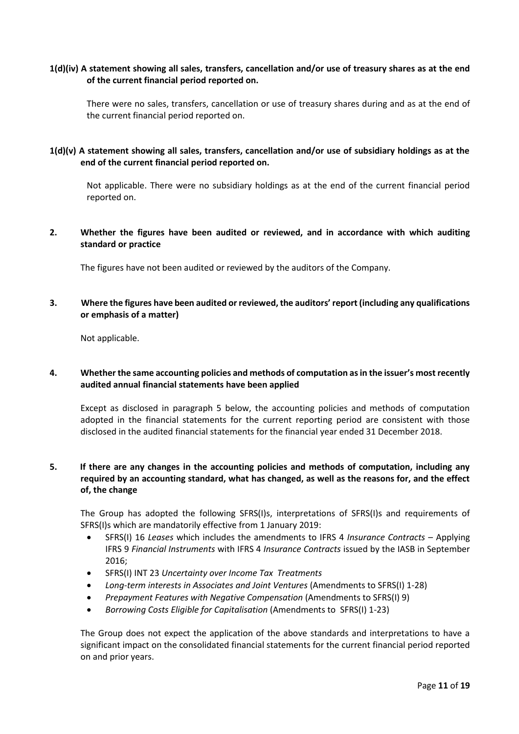### **1(d)(iv) A statement showing all sales, transfers, cancellation and/or use of treasury shares as at the end of the current financial period reported on.**

There were no sales, transfers, cancellation or use of treasury shares during and as at the end of the current financial period reported on.

### **1(d)(v) A statement showing all sales, transfers, cancellation and/or use of subsidiary holdings as at the end of the current financial period reported on.**

Not applicable. There were no subsidiary holdings as at the end of the current financial period reported on.

### **2. Whether the figures have been audited or reviewed, and in accordance with which auditing standard or practice**

The figures have not been audited or reviewed by the auditors of the Company.

### **3. Where the figures have been audited or reviewed, the auditors' report (including any qualifications or emphasis of a matter)**

Not applicable.

#### **4. Whether the same accounting policies and methods of computation as in the issuer's most recently audited annual financial statements have been applied**

Except as disclosed in paragraph 5 below, the accounting policies and methods of computation adopted in the financial statements for the current reporting period are consistent with those disclosed in the audited financial statements for the financial year ended 31 December 2018.

## **5. If there are any changes in the accounting policies and methods of computation, including any required by an accounting standard, what has changed, as well as the reasons for, and the effect of, the change**

The Group has adopted the following SFRS(I)s, interpretations of SFRS(I)s and requirements of SFRS(I)s which are mandatorily effective from 1 January 2019:

- SFRS(I) 16 *Leases* which includes the amendments to IFRS 4 *Insurance Contracts* Applying IFRS 9 *Financial Instruments* with IFRS 4 *Insurance Contracts* issued by the IASB in September 2016;
- SFRS(I) INT 23 *Uncertainty over Income Tax Treatments*
- *Long-term interests in Associates and Joint Ventures* (Amendments to SFRS(I) 1-28)
- *Prepayment Features with Negative Compensation* (Amendments to SFRS(I) 9)
- *Borrowing Costs Eligible for Capitalisation* (Amendments to SFRS(I) 1-23)

The Group does not expect the application of the above standards and interpretations to have a significant impact on the consolidated financial statements for the current financial period reported on and prior years.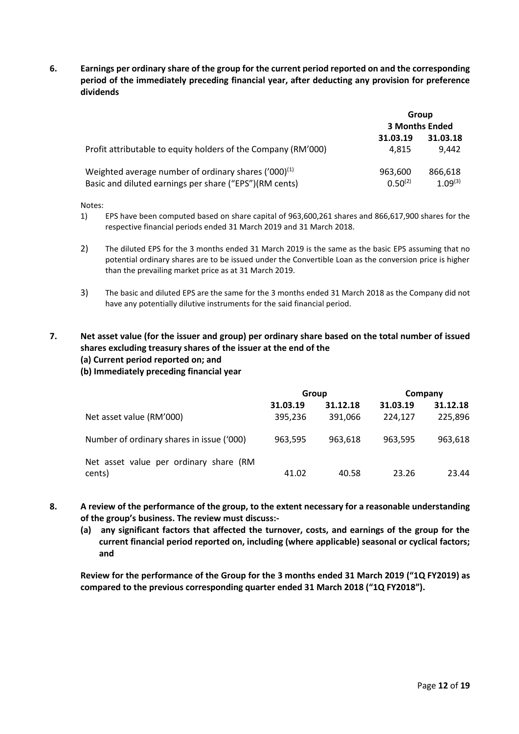**6. Earnings per ordinary share of the group for the current period reported on and the corresponding period of the immediately preceding financial year, after deducting any provision for preference dividends**

|                                                               | Group                 |            |
|---------------------------------------------------------------|-----------------------|------------|
|                                                               | <b>3 Months Ended</b> |            |
|                                                               | 31.03.19              | 31.03.18   |
| Profit attributable to equity holders of the Company (RM'000) | 4.815                 | 9.442      |
| Weighted average number of ordinary shares $(200)^{(1)}$      | 963,600               | 866,618    |
| Basic and diluted earnings per share ("EPS")(RM cents)        | $0.50^{(2)}$          | 1.09 $(3)$ |

Notes:

1) EPS have been computed based on share capital of 963,600,261 shares and 866,617,900 shares for the respective financial periods ended 31 March 2019 and 31 March 2018.

- 2) The diluted EPS for the 3 months ended 31 March 2019 is the same as the basic EPS assuming that no potential ordinary shares are to be issued under the Convertible Loan as the conversion price is higher than the prevailing market price as at 31 March 2019.
- 3) The basic and diluted EPS are the same for the 3 months ended 31 March 2018 as the Company did not have any potentially dilutive instruments for the said financial period.

## **7. Net asset value (for the issuer and group) per ordinary share based on the total number of issued shares excluding treasury shares of the issuer at the end of the**

- **(a) Current period reported on; and**
- **(b) Immediately preceding financial year**

|                                           | Group    |          | Company  |          |
|-------------------------------------------|----------|----------|----------|----------|
|                                           | 31.03.19 | 31.12.18 | 31.03.19 | 31.12.18 |
| Net asset value (RM'000)                  | 395,236  | 391,066  | 224.127  | 225,896  |
| Number of ordinary shares in issue ('000) | 963,595  | 963.618  | 963.595  | 963,618  |
| Net asset value per ordinary share (RM    |          |          |          |          |
| cents)                                    | 41.02    | 40.58    | 23.26    | 23.44    |

- **8. A review of the performance of the group, to the extent necessary for a reasonable understanding of the group's business. The review must discuss:-**
	- **(a) any significant factors that affected the turnover, costs, and earnings of the group for the current financial period reported on, including (where applicable) seasonal or cyclical factors; and**

**Review for the performance of the Group for the 3 months ended 31 March 2019 ("1Q FY2019) as compared to the previous corresponding quarter ended 31 March 2018 ("1Q FY2018").**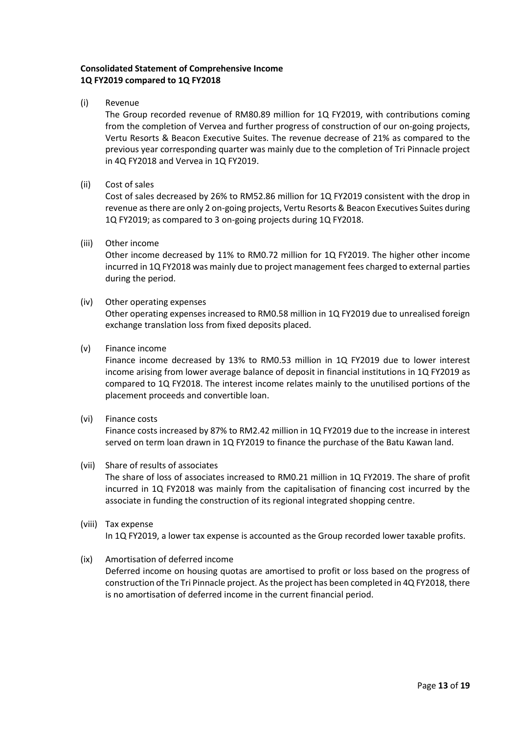## **Consolidated Statement of Comprehensive Income 1Q FY2019 compared to 1Q FY2018**

(i) Revenue

The Group recorded revenue of RM80.89 million for 1Q FY2019, with contributions coming from the completion of Vervea and further progress of construction of our on-going projects, Vertu Resorts & Beacon Executive Suites. The revenue decrease of 21% as compared to the previous year corresponding quarter was mainly due to the completion of Tri Pinnacle project in 4Q FY2018 and Vervea in 1Q FY2019.

(ii) Cost of sales

Cost of sales decreased by 26% to RM52.86 million for 1Q FY2019 consistent with the drop in revenue as there are only 2 on-going projects, Vertu Resorts & Beacon Executives Suites during 1Q FY2019; as compared to 3 on-going projects during 1Q FY2018.

(iii) Other income

Other income decreased by 11% to RM0.72 million for 1Q FY2019. The higher other income incurred in 1Q FY2018 was mainly due to project management fees charged to external parties during the period.

(iv) Other operating expenses

Other operating expenses increased to RM0.58 million in 1Q FY2019 due to unrealised foreign exchange translation loss from fixed deposits placed.

(v) Finance income

Finance income decreased by 13% to RM0.53 million in 1Q FY2019 due to lower interest income arising from lower average balance of deposit in financial institutions in 1Q FY2019 as compared to 1Q FY2018. The interest income relates mainly to the unutilised portions of the placement proceeds and convertible loan.

(vi) Finance costs

Finance costs increased by 87% to RM2.42 million in 1Q FY2019 due to the increase in interest served on term loan drawn in 1Q FY2019 to finance the purchase of the Batu Kawan land.

(vii) Share of results of associates

The share of loss of associates increased to RM0.21 million in 1Q FY2019. The share of profit incurred in 1Q FY2018 was mainly from the capitalisation of financing cost incurred by the associate in funding the construction of its regional integrated shopping centre.

- (viii) Tax expense In 1Q FY2019, a lower tax expense is accounted as the Group recorded lower taxable profits.
- (ix) Amortisation of deferred income Deferred income on housing quotas are amortised to profit or loss based on the progress of construction of the Tri Pinnacle project. As the project has been completed in 4Q FY2018, there is no amortisation of deferred income in the current financial period.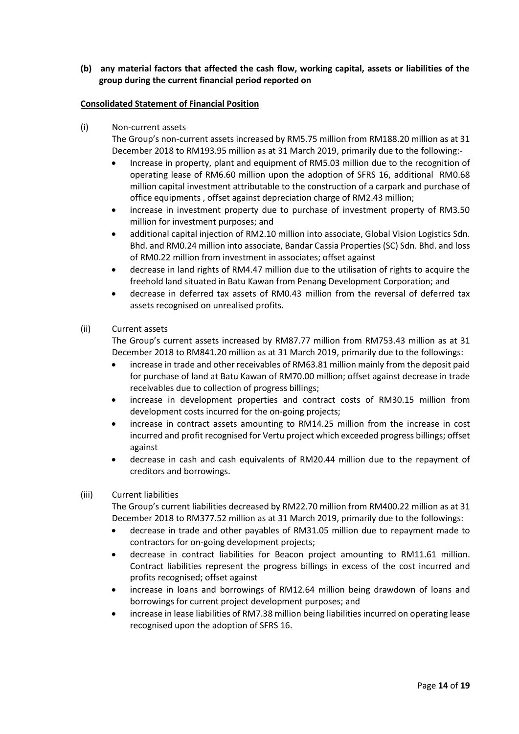**(b) any material factors that affected the cash flow, working capital, assets or liabilities of the group during the current financial period reported on**

### **Consolidated Statement of Financial Position**

(i) Non-current assets

The Group's non-current assets increased by RM5.75 million from RM188.20 million as at 31 December 2018 to RM193.95 million as at 31 March 2019, primarily due to the following:-

- Increase in property, plant and equipment of RM5.03 million due to the recognition of operating lease of RM6.60 million upon the adoption of SFRS 16, additional RM0.68 million capital investment attributable to the construction of a carpark and purchase of office equipments , offset against depreciation charge of RM2.43 million;
- increase in investment property due to purchase of investment property of RM3.50 million for investment purposes; and
- additional capital injection of RM2.10 million into associate, Global Vision Logistics Sdn. Bhd. and RM0.24 million into associate, Bandar Cassia Properties (SC) Sdn. Bhd. and loss of RM0.22 million from investment in associates; offset against
- decrease in land rights of RM4.47 million due to the utilisation of rights to acquire the freehold land situated in Batu Kawan from Penang Development Corporation; and
- decrease in deferred tax assets of RM0.43 million from the reversal of deferred tax assets recognised on unrealised profits.
- (ii) Current assets

The Group's current assets increased by RM87.77 million from RM753.43 million as at 31 December 2018 to RM841.20 million as at 31 March 2019, primarily due to the followings:

- increase in trade and other receivables of RM63.81 million mainly from the deposit paid for purchase of land at Batu Kawan of RM70.00 million; offset against decrease in trade receivables due to collection of progress billings;
- increase in development properties and contract costs of RM30.15 million from development costs incurred for the on-going projects;
- increase in contract assets amounting to RM14.25 million from the increase in cost incurred and profit recognised for Vertu project which exceeded progress billings; offset against
- decrease in cash and cash equivalents of RM20.44 million due to the repayment of creditors and borrowings.
- (iii) Current liabilities

The Group's current liabilities decreased by RM22.70 million from RM400.22 million as at 31 December 2018 to RM377.52 million as at 31 March 2019, primarily due to the followings:

- decrease in trade and other payables of RM31.05 million due to repayment made to contractors for on-going development projects;
- decrease in contract liabilities for Beacon project amounting to RM11.61 million. Contract liabilities represent the progress billings in excess of the cost incurred and profits recognised; offset against
- increase in loans and borrowings of RM12.64 million being drawdown of loans and borrowings for current project development purposes; and
- increase in lease liabilities of RM7.38 million being liabilities incurred on operating lease recognised upon the adoption of SFRS 16.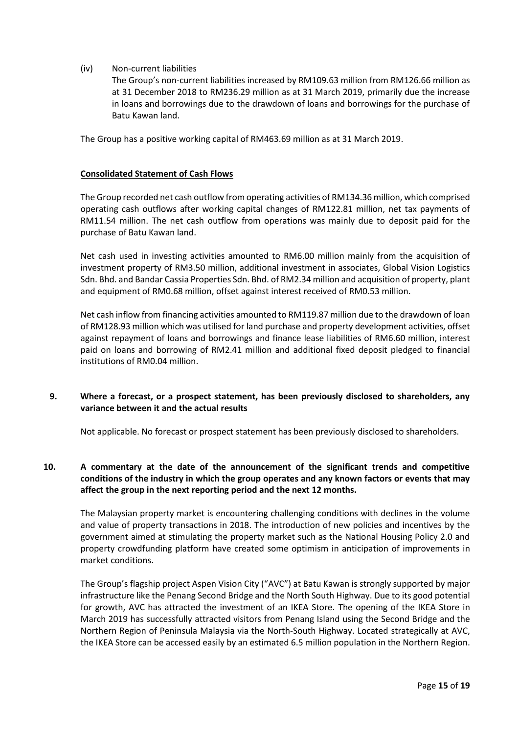(iv) Non-current liabilities

The Group's non-current liabilities increased by RM109.63 million from RM126.66 million as at 31 December 2018 to RM236.29 million as at 31 March 2019, primarily due the increase in loans and borrowings due to the drawdown of loans and borrowings for the purchase of Batu Kawan land.

The Group has a positive working capital of RM463.69 million as at 31 March 2019.

#### **Consolidated Statement of Cash Flows**

The Group recorded net cash outflow from operating activities of RM134.36 million, which comprised operating cash outflows after working capital changes of RM122.81 million, net tax payments of RM11.54 million. The net cash outflow from operations was mainly due to deposit paid for the purchase of Batu Kawan land.

Net cash used in investing activities amounted to RM6.00 million mainly from the acquisition of investment property of RM3.50 million, additional investment in associates, Global Vision Logistics Sdn. Bhd. and Bandar Cassia Properties Sdn. Bhd. of RM2.34 million and acquisition of property, plant and equipment of RM0.68 million, offset against interest received of RM0.53 million.

Net cash inflow from financing activities amounted to RM119.87 million due to the drawdown of loan of RM128.93 million which was utilised for land purchase and property development activities, offset against repayment of loans and borrowings and finance lease liabilities of RM6.60 million, interest paid on loans and borrowing of RM2.41 million and additional fixed deposit pledged to financial institutions of RM0.04 million.

### **9. Where a forecast, or a prospect statement, has been previously disclosed to shareholders, any variance between it and the actual results**

Not applicable. No forecast or prospect statement has been previously disclosed to shareholders.

## **10. A commentary at the date of the announcement of the significant trends and competitive conditions of the industry in which the group operates and any known factors or events that may affect the group in the next reporting period and the next 12 months.**

The Malaysian property market is encountering challenging conditions with declines in the volume and value of property transactions in 2018. The introduction of new policies and incentives by the government aimed at stimulating the property market such as the National Housing Policy 2.0 and property crowdfunding platform have created some optimism in anticipation of improvements in market conditions.

The Group's flagship project Aspen Vision City ("AVC") at Batu Kawan is strongly supported by major infrastructure like the Penang Second Bridge and the North South Highway. Due to its good potential for growth, AVC has attracted the investment of an IKEA Store. The opening of the IKEA Store in March 2019 has successfully attracted visitors from Penang Island using the Second Bridge and the Northern Region of Peninsula Malaysia via the North-South Highway. Located strategically at AVC, the IKEA Store can be accessed easily by an estimated 6.5 million population in the Northern Region.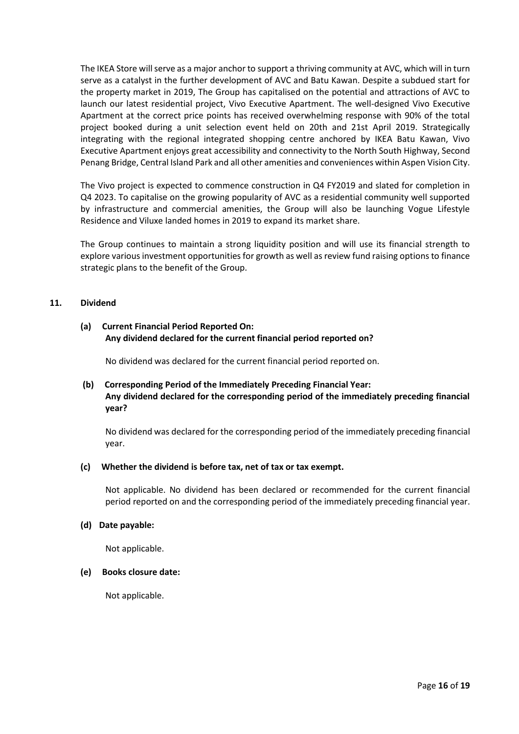The IKEA Store will serve as a major anchor to support a thriving community at AVC, which will in turn serve as a catalyst in the further development of AVC and Batu Kawan. Despite a subdued start for the property market in 2019, The Group has capitalised on the potential and attractions of AVC to launch our latest residential project, Vivo Executive Apartment. The well-designed Vivo Executive Apartment at the correct price points has received overwhelming response with 90% of the total project booked during a unit selection event held on 20th and 21st April 2019. Strategically integrating with the regional integrated shopping centre anchored by IKEA Batu Kawan, Vivo Executive Apartment enjoys great accessibility and connectivity to the North South Highway, Second Penang Bridge, Central Island Park and all other amenities and conveniences within Aspen Vision City.

The Vivo project is expected to commence construction in Q4 FY2019 and slated for completion in Q4 2023. To capitalise on the growing popularity of AVC as a residential community well supported by infrastructure and commercial amenities, the Group will also be launching Vogue Lifestyle Residence and Viluxe landed homes in 2019 to expand its market share.

The Group continues to maintain a strong liquidity position and will use its financial strength to explore various investment opportunities for growth as well as review fund raising options to finance strategic plans to the benefit of the Group.

#### **11. Dividend**

### **(a) Current Financial Period Reported On: Any dividend declared for the current financial period reported on?**

No dividend was declared for the current financial period reported on.

## **(b) Corresponding Period of the Immediately Preceding Financial Year: Any dividend declared for the corresponding period of the immediately preceding financial year?**

No dividend was declared for the corresponding period of the immediately preceding financial year.

### **(c) Whether the dividend is before tax, net of tax or tax exempt.**

Not applicable. No dividend has been declared or recommended for the current financial period reported on and the corresponding period of the immediately preceding financial year.

#### **(d) Date payable:**

Not applicable.

#### **(e) Books closure date:**

Not applicable.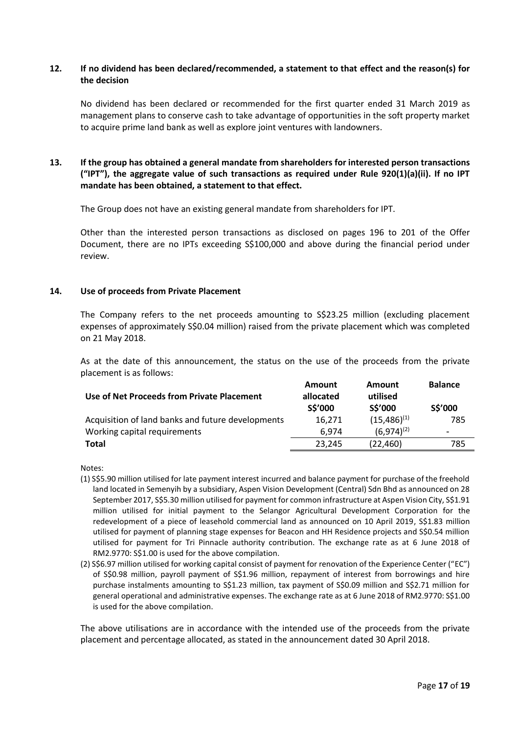### **12. If no dividend has been declared/recommended, a statement to that effect and the reason(s) for the decision**

No dividend has been declared or recommended for the first quarter ended 31 March 2019 as management plans to conserve cash to take advantage of opportunities in the soft property market to acquire prime land bank as well as explore joint ventures with landowners.

## **13. If the group has obtained a general mandate from shareholders for interested person transactions ("IPT"), the aggregate value of such transactions as required under Rule 920(1)(a)(ii). If no IPT mandate has been obtained, a statement to that effect.**

The Group does not have an existing general mandate from shareholders for IPT.

Other than the interested person transactions as disclosed on pages 196 to 201 of the Offer Document, there are no IPTs exceeding S\$100,000 and above during the financial period under review.

#### **14. Use of proceeds from Private Placement**

The Company refers to the net proceeds amounting to S\$23.25 million (excluding placement expenses of approximately S\$0.04 million) raised from the private placement which was completed on 21 May 2018.

As at the date of this announcement, the status on the use of the proceeds from the private placement is as follows:

| Use of Net Proceeds from Private Placement        | <b>Amount</b><br>allocated<br>S\$'000 | <b>Amount</b><br>utilised<br>S\$'000 | <b>Balance</b><br>S\$'000 |
|---------------------------------------------------|---------------------------------------|--------------------------------------|---------------------------|
| Acquisition of land banks and future developments | 16.271                                | $(15, 486)^{(1)}$                    | 785                       |
| Working capital requirements                      | 6.974                                 | $(6,974)^{(2)}$                      | $\,$                      |
| Total                                             | 23,245                                | (22, 460)                            | 785                       |

Notes:

- (1) S\$5.90 million utilised for late payment interest incurred and balance payment for purchase of the freehold land located in Semenyih by a subsidiary, Aspen Vision Development (Central) Sdn Bhd as announced on 28 September 2017, S\$5.30 million utilised for payment for common infrastructure at Aspen Vision City, S\$1.91 million utilised for initial payment to the Selangor Agricultural Development Corporation for the redevelopment of a piece of leasehold commercial land as announced on 10 April 2019, S\$1.83 million utilised for payment of planning stage expenses for Beacon and HH Residence projects and S\$0.54 million utilised for payment for Tri Pinnacle authority contribution. The exchange rate as at 6 June 2018 of RM2.9770: S\$1.00 is used for the above compilation.
- (2) S\$6.97 million utilised for working capital consist of payment for renovation of the Experience Center ("EC") of S\$0.98 million, payroll payment of S\$1.96 million, repayment of interest from borrowings and hire purchase instalments amounting to S\$1.23 million, tax payment of S\$0.09 million and S\$2.71 million for general operational and administrative expenses. The exchange rate as at 6 June 2018 of RM2.9770: S\$1.00 is used for the above compilation.

The above utilisations are in accordance with the intended use of the proceeds from the private placement and percentage allocated, as stated in the announcement dated 30 April 2018.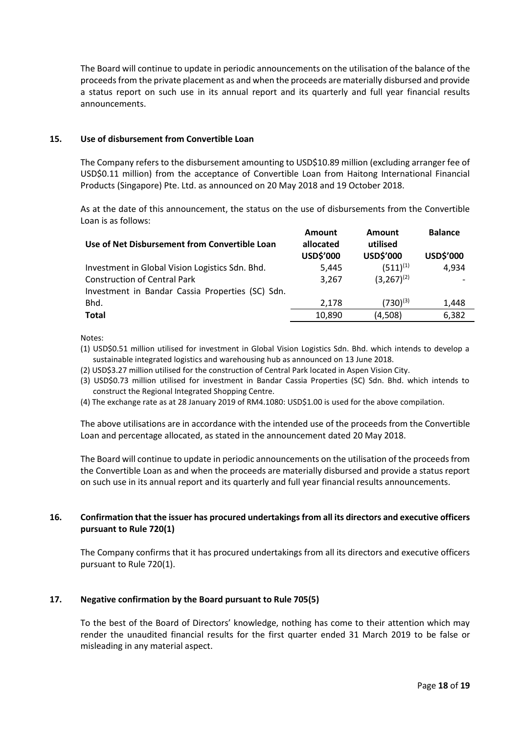The Board will continue to update in periodic announcements on the utilisation of the balance of the proceeds from the private placement as and when the proceeds are materially disbursed and provide a status report on such use in its annual report and its quarterly and full year financial results announcements.

#### **15. Use of disbursement from Convertible Loan**

The Company refers to the disbursement amounting to USD\$10.89 million (excluding arranger fee of USD\$0.11 million) from the acceptance of Convertible Loan from Haitong International Financial Products (Singapore) Pte. Ltd. as announced on 20 May 2018 and 19 October 2018.

As at the date of this announcement, the status on the use of disbursements from the Convertible Loan is as follows:

| Use of Net Disbursement from Convertible Loan    | Amount<br>allocated<br>USD\$'000 | Amount<br>utilised<br>USD\$'000 | <b>Balance</b><br>USD\$'000 |
|--------------------------------------------------|----------------------------------|---------------------------------|-----------------------------|
| Investment in Global Vision Logistics Sdn. Bhd.  | 5,445                            | $(511)^{(1)}$                   | 4,934                       |
| <b>Construction of Central Park</b>              | 3.267                            | $(3,267)^{(2)}$                 |                             |
| Investment in Bandar Cassia Properties (SC) Sdn. |                                  |                                 |                             |
| Bhd.                                             | 2.178                            | $(730)^{(3)}$                   | 1,448                       |
| <b>Total</b>                                     | 10,890                           | (4,508)                         | 6,382                       |
|                                                  |                                  |                                 |                             |

Notes:

- (1) USD\$0.51 million utilised for investment in Global Vision Logistics Sdn. Bhd. which intends to develop a sustainable integrated logistics and warehousing hub as announced on 13 June 2018.
- (2) USD\$3.27 million utilised for the construction of Central Park located in Aspen Vision City.
- (3) USD\$0.73 million utilised for investment in Bandar Cassia Properties (SC) Sdn. Bhd. which intends to construct the Regional Integrated Shopping Centre.
- (4) The exchange rate as at 28 January 2019 of RM4.1080: USD\$1.00 is used for the above compilation.

The above utilisations are in accordance with the intended use of the proceeds from the Convertible Loan and percentage allocated, as stated in the announcement dated 20 May 2018.

The Board will continue to update in periodic announcements on the utilisation of the proceeds from the Convertible Loan as and when the proceeds are materially disbursed and provide a status report on such use in its annual report and its quarterly and full year financial results announcements.

### **16. Confirmation that the issuer has procured undertakings from all its directors and executive officers pursuant to Rule 720(1)**

The Company confirms that it has procured undertakings from all its directors and executive officers pursuant to Rule 720(1).

### **17. Negative confirmation by the Board pursuant to Rule 705(5)**

To the best of the Board of Directors' knowledge, nothing has come to their attention which may render the unaudited financial results for the first quarter ended 31 March 2019 to be false or misleading in any material aspect.